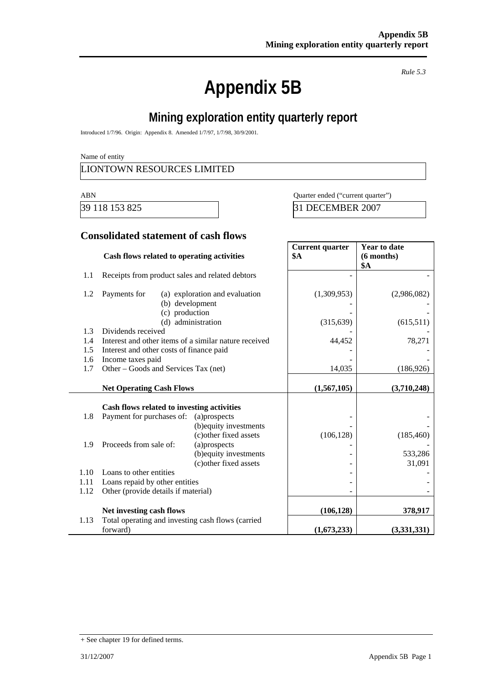# **Appendix 5B**

*Rule 5.3* 

# **Mining exploration entity quarterly report**

Introduced 1/7/96. Origin: Appendix 8. Amended 1/7/97, 1/7/98, 30/9/2001.

Name of entity

#### LIONTOWN RESOURCES LIMITED

ABN Quarter ended ("current quarter")

39 118 153 825 31 DECEMBER 2007

#### **Consolidated statement of cash flows**

|      | Cash flows related to operating activities            |                                | <b>Current quarter</b><br><b>\$A</b> | <b>Year to date</b><br>(6 months)<br><b>\$A</b> |
|------|-------------------------------------------------------|--------------------------------|--------------------------------------|-------------------------------------------------|
| 1.1  | Receipts from product sales and related debtors       |                                |                                      |                                                 |
| 1.2  | Payments for<br>(b) development<br>(c) production     | (a) exploration and evaluation | (1,309,953)                          | (2,986,082)                                     |
|      | (d)                                                   | administration                 | (315, 639)                           | (615,511)                                       |
| 1.3  | Dividends received                                    |                                |                                      |                                                 |
| 1.4  | Interest and other items of a similar nature received |                                | 44,452                               | 78,271                                          |
| 1.5  | Interest and other costs of finance paid              |                                |                                      |                                                 |
| 1.6  | Income taxes paid                                     |                                |                                      |                                                 |
| 1.7  | Other – Goods and Services Tax (net)                  |                                | 14,035                               | (186, 926)                                      |
|      | <b>Net Operating Cash Flows</b>                       |                                | (1,567,105)                          | (3,710,248)                                     |
|      | Cash flows related to investing activities            |                                |                                      |                                                 |
| 1.8  | Payment for purchases of:                             | (a)prospects                   |                                      |                                                 |
|      |                                                       | (b) equity investments         |                                      |                                                 |
|      |                                                       | (c) other fixed assets         | (106, 128)                           | (185, 460)                                      |
| 1.9  | Proceeds from sale of:                                | (a)prospects                   |                                      |                                                 |
|      |                                                       | (b) equity investments         |                                      | 533,286                                         |
|      |                                                       | (c) other fixed assets         |                                      | 31,091                                          |
| 1.10 | Loans to other entities                               |                                |                                      |                                                 |
| 1.11 | Loans repaid by other entities                        |                                |                                      |                                                 |
| 1.12 | Other (provide details if material)                   |                                |                                      |                                                 |
|      | Net investing cash flows                              |                                | (106, 128)                           | 378,917                                         |
| 1.13 | Total operating and investing cash flows (carried     |                                |                                      |                                                 |
|      | forward)                                              |                                | (1,673,233)                          | (3,331,331)                                     |

<sup>+</sup> See chapter 19 for defined terms.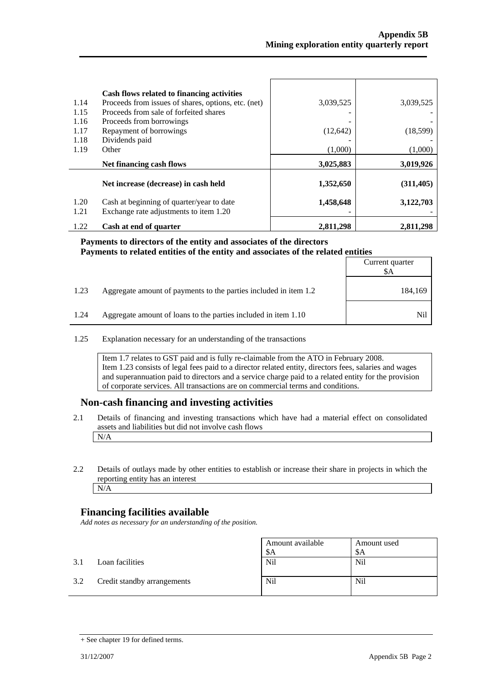| 1.14<br>1.15<br>1.16<br>1.17<br>1.18<br>1.19 | Cash flows related to financing activities<br>Proceeds from issues of shares, options, etc. (net)<br>Proceeds from sale of forfeited shares<br>Proceeds from borrowings<br>Repayment of borrowings<br>Dividends paid<br>Other | 3,039,525<br>(12, 642)<br>(1,000) | 3,039,525<br>(18,599)<br>(1,000) |
|----------------------------------------------|-------------------------------------------------------------------------------------------------------------------------------------------------------------------------------------------------------------------------------|-----------------------------------|----------------------------------|
|                                              | Net financing cash flows                                                                                                                                                                                                      | 3,025,883                         | 3,019,926                        |
|                                              | Net increase (decrease) in cash held                                                                                                                                                                                          | 1,352,650                         | (311, 405)                       |
| 1.20<br>1.21                                 | Cash at beginning of quarter/year to date<br>Exchange rate adjustments to item 1.20                                                                                                                                           | 1,458,648                         | 3,122,703                        |
| 1.22                                         | Cash at end of quarter                                                                                                                                                                                                        | 2,811,298                         | 2.811.298                        |

#### **Payments to directors of the entity and associates of the directors Payments to related entities of the entity and associates of the related entities**

|      |                                                                  | Current quarter<br>\$A |
|------|------------------------------------------------------------------|------------------------|
| 1.23 | Aggregate amount of payments to the parties included in item 1.2 | 184,169                |
| 1.24 | Aggregate amount of loans to the parties included in item 1.10   | Nil                    |

1.25 Explanation necessary for an understanding of the transactions

Item 1.7 relates to GST paid and is fully re-claimable from the ATO in February 2008. Item 1.23 consists of legal fees paid to a director related entity, directors fees, salaries and wages and superannuation paid to directors and a service charge paid to a related entity for the provision of corporate services. All transactions are on commercial terms and conditions.

#### **Non-cash financing and investing activities**

- 2.1 Details of financing and investing transactions which have had a material effect on consolidated assets and liabilities but did not involve cash flows N/A
- 2.2 Details of outlays made by other entities to establish or increase their share in projects in which the reporting entity has an interest N/A

#### **Financing facilities available**

*Add notes as necessary for an understanding of the position.* 

|     |                             | Amount available<br>\$A | Amount used<br>-SA |
|-----|-----------------------------|-------------------------|--------------------|
| 3.1 | Loan facilities             | Nil                     | <b>Nil</b>         |
| 3.2 | Credit standby arrangements | Nil                     | <b>Nil</b>         |

<sup>+</sup> See chapter 19 for defined terms.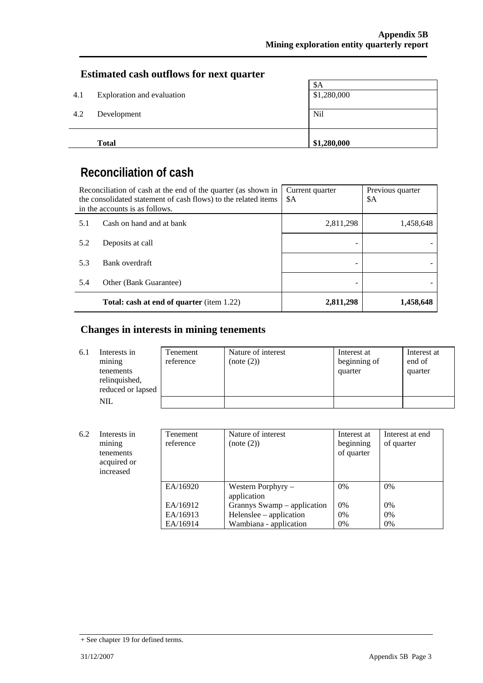#### **Estimated cash outflows for next quarter**

|     | <b>Total</b>               | \$1,280,000 |
|-----|----------------------------|-------------|
|     |                            |             |
| 4.2 | Development                | Nil         |
|     |                            |             |
| 4.1 | Exploration and evaluation | \$1,280,000 |
|     |                            | \$A         |

## **Reconciliation of cash**

|     | Reconciliation of cash at the end of the quarter (as shown in<br>the consolidated statement of cash flows) to the related items<br>in the accounts is as follows. | Current quarter<br>\$A | Previous quarter<br>\$A |
|-----|-------------------------------------------------------------------------------------------------------------------------------------------------------------------|------------------------|-------------------------|
| 5.1 | Cash on hand and at bank                                                                                                                                          | 2,811,298              | 1,458,648               |
| 5.2 | Deposits at call                                                                                                                                                  |                        |                         |
| 5.3 | Bank overdraft                                                                                                                                                    |                        |                         |
| 5.4 | Other (Bank Guarantee)                                                                                                                                            |                        |                         |
|     | <b>Total: cash at end of quarter</b> (item 1.22)                                                                                                                  | 2,811,298              | 1,458,648               |

## **Changes in interests in mining tenements**

| 6.1 | Interests in<br>mining<br>tenements<br>relinquished,<br>reduced or lapsed | Tenement<br>reference | Nature of interest<br>(note (2)) | Interest at<br>beginning of<br>quarter | Interest at<br>end of<br>quarter |
|-----|---------------------------------------------------------------------------|-----------------------|----------------------------------|----------------------------------------|----------------------------------|
|     | <b>NIL</b>                                                                |                       |                                  |                                        |                                  |

| 6.2<br>Interests in<br>mining<br>tenements<br>acquired or<br>increased |  | <b>Tenement</b><br>reference | Nature of interest<br>(note (2))    | Interest at<br>beginning<br>of quarter | Interest at end<br>of quarter |
|------------------------------------------------------------------------|--|------------------------------|-------------------------------------|----------------------------------------|-------------------------------|
|                                                                        |  | EA/16920                     | Western Porphyry $-$<br>application | 0%                                     | $0\%$                         |
|                                                                        |  | EA/16912                     | Grannys Swamp – application         | $0\%$                                  | 0%                            |
|                                                                        |  | EA/16913                     | Helenslee – application             | 0%                                     | $0\%$                         |
|                                                                        |  | EA/16914                     | Wambiana - application              | 0%                                     | 0%                            |

<sup>+</sup> See chapter 19 for defined terms.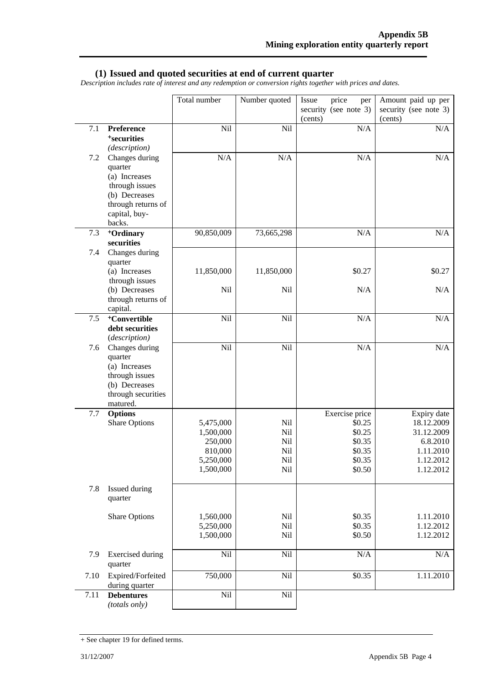#### **(1) Issued and quoted securities at end of current quarter**

*Description includes rate of interest and any redemption or conversion rights together with prices and dates.* 

|       |                                                                                                                                | Total number                                                           | Number quoted                          | price<br>Issue<br>per<br>security (see note 3)           | Amount paid up per<br>security (see note 3)                                 |
|-------|--------------------------------------------------------------------------------------------------------------------------------|------------------------------------------------------------------------|----------------------------------------|----------------------------------------------------------|-----------------------------------------------------------------------------|
|       |                                                                                                                                |                                                                        |                                        | (cents)                                                  | (cents)                                                                     |
| 7.1   | Preference<br><sup>+</sup> securities<br>(description)                                                                         | Nil                                                                    | Nil                                    | N/A                                                      | N/A                                                                         |
| 7.2   | Changes during<br>quarter<br>(a) Increases<br>through issues<br>(b) Decreases<br>through returns of<br>capital, buy-<br>backs. | N/A                                                                    | N/A                                    | N/A                                                      | N/A                                                                         |
| 7.3   | +Ordinary<br>securities                                                                                                        | 90,850,009                                                             | 73,665,298                             | N/A                                                      | N/A                                                                         |
| 7.4   | Changes during<br>quarter                                                                                                      |                                                                        |                                        |                                                          |                                                                             |
|       | (a) Increases<br>through issues                                                                                                | 11,850,000                                                             | 11,850,000                             | \$0.27                                                   | \$0.27                                                                      |
|       | (b) Decreases<br>through returns of<br>capital.                                                                                | Nil                                                                    | Nil                                    | N/A                                                      | N/A                                                                         |
| $7.5$ | <sup>+</sup> Convertible<br>debt securities<br>(description)                                                                   | Nil                                                                    | Nil                                    | N/A                                                      | N/A                                                                         |
| 7.6   | Changes during<br>quarter<br>(a) Increases<br>through issues<br>(b) Decreases<br>through securities<br>matured.                | Nil                                                                    | Nil                                    | N/A                                                      | N/A                                                                         |
| 7.7   | <b>Options</b>                                                                                                                 |                                                                        |                                        | Exercise price                                           | Expiry date                                                                 |
|       | <b>Share Options</b>                                                                                                           | 5,475,000<br>1,500,000<br>250,000<br>810,000<br>5,250,000<br>1,500,000 | Nil<br>Nil<br>Nil<br>Nil<br>Nil<br>Nil | \$0.25<br>\$0.25<br>\$0.35<br>\$0.35<br>\$0.35<br>\$0.50 | 18.12.2009<br>31.12.2009<br>6.8.2010<br>1.11.2010<br>1.12.2012<br>1.12.2012 |
| 7.8   | Issued during<br>quarter                                                                                                       |                                                                        |                                        |                                                          |                                                                             |
|       | <b>Share Options</b>                                                                                                           | 1,560,000<br>5,250,000<br>1,500,000                                    | Nil<br>Nil<br>Nil                      | \$0.35<br>\$0.35<br>\$0.50                               | 1.11.2010<br>1.12.2012<br>1.12.2012                                         |
| 7.9   | <b>Exercised</b> during<br>quarter                                                                                             | Nil                                                                    | Nil                                    | N/A                                                      | $\rm N/A$                                                                   |
| 7.10  | Expired/Forfeited<br>during quarter                                                                                            | 750,000                                                                | Nil                                    | \$0.35                                                   | 1.11.2010                                                                   |
| 7.11  | <b>Debentures</b><br>(totals only)                                                                                             | Nil                                                                    | Nil                                    |                                                          |                                                                             |

<sup>+</sup> See chapter 19 for defined terms.